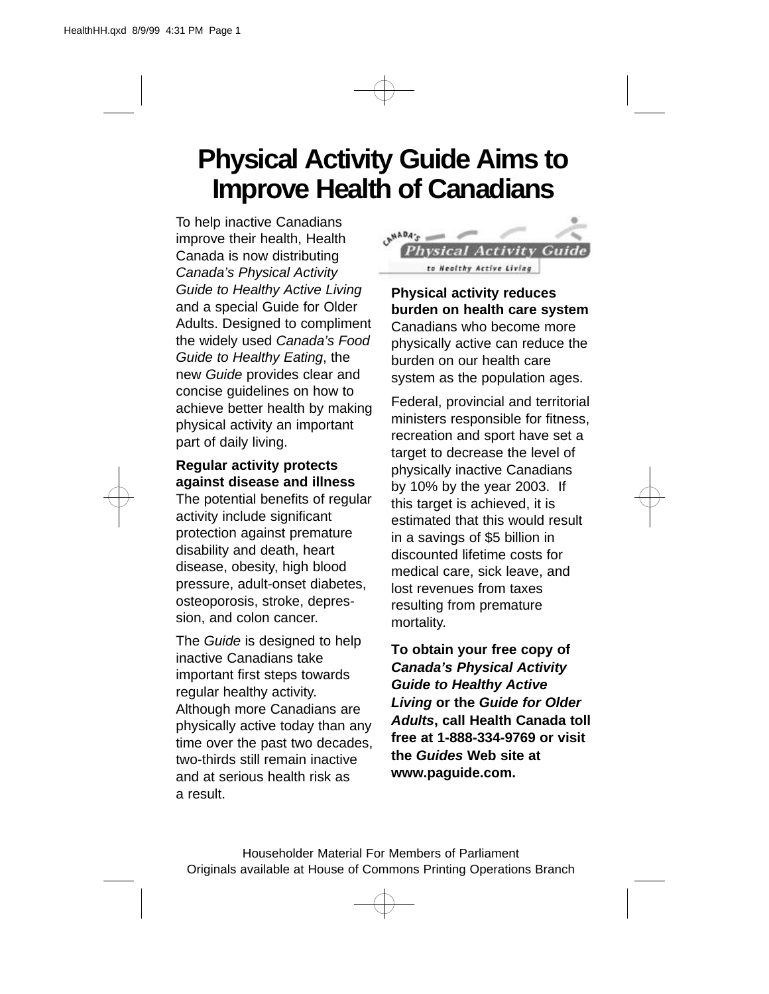## **Physical Activity Guide Aims to Improve Health of Canadians**

To help inactive Canadians improve their health, Health Canada is now distributing *Canada's Physical Activity Guide to Healthy Active Living* and a special Guide for Older Adults. Designed to compliment the widely used *Canada's Food Guide to Healthy Eating*, the new *Guide* provides clear and concise guidelines on how to achieve better health by making physical activity an important part of daily living.

## **Regular activity protects against disease and illness**

The potential benefits of regular activity include significant protection against premature disability and death, heart disease, obesity, high blood pressure, adult-onset diabetes, osteoporosis, stroke, depression, and colon cancer.

The *Guide* is designed to help inactive Canadians take important first steps towards regular healthy activity. Although more Canadians are physically active today than any time over the past two decades, two-thirds still remain inactive and at serious health risk as a result.



**Physical activity reduces burden on health care system** Canadians who become more physically active can reduce the burden on our health care system as the population ages.

Federal, provincial and territorial ministers responsible for fitness, recreation and sport have set a target to decrease the level of physically inactive Canadians by 10% by the year 2003. If this target is achieved, it is estimated that this would result in a savings of \$5 billion in discounted lifetime costs for medical care, sick leave, and lost revenues from taxes resulting from premature mortality.

**To obtain your free copy of** *Canada's Physical Activity Guide to Healthy Active Living* **or the** *Guide for Older Adults***, call Health Canada toll free at 1-888-334-9769 or visit the** *Guides* **Web site at www.paguide.com.**